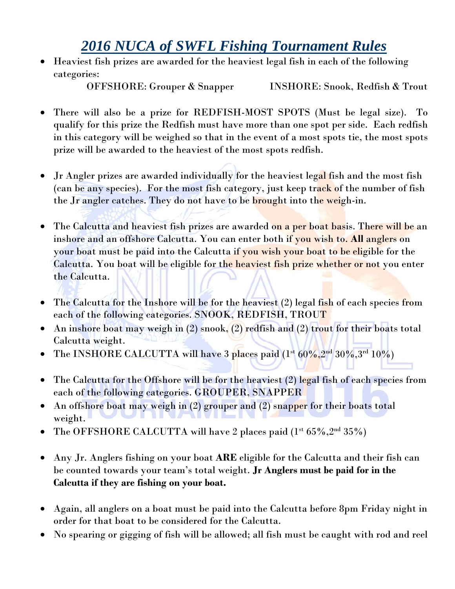## *2016 NUCA of SWFL Fishing Tournament Rules*

 Heaviest fish prizes are awarded for the heaviest legal fish in each of the following categories:

OFFSHORE: Grouper & Snapper INSHORE: Snook, Redfish & Trout

- There will also be a prize for REDFISH-MOST SPOTS (Must be legal size). To qualify for this prize the Redfish must have more than one spot per side. Each redfish in this category will be weighed so that in the event of a most spots tie, the most spots prize will be awarded to the heaviest of the most spots redfish.
- Jr Angler prizes are awarded individually for the heaviest legal fish and the most fish (can be any species). For the most fish category, just keep track of the number of fish the Jr angler catches. They do not have to be **brought** into the weigh-in.
- The Calcutta and heaviest fish prizes are awarded on a per boat basis. There will be an inshore and an offshore Calcutta. You can enter both if you wish to. **All** anglers on your boat must be paid into the Calcutta if you wish your boat to be eligible for the Calcutta. You boat will be eligible for the heaviest fish prize whether or not you enter the Calcutta.
- The Calcutta for the Inshore will be for the heaviest (2) legal fish of each species from each of the following categories. SNOOK, REDFISH, TROUT
- An inshore boat may weigh in (2) snook, (2) redfish and (2) trout for their boats total Calcutta weight.
- The INSHORE CALCUTTA will have 3 places paid  $(1^{st} 60\%, 2^{nd} 30\%, 3^{rd} 10\%)$
- The Calcutta for the Offshore will be for the heaviest (2) legal fish of each species from each of the following categories. GROUPER, SNAPPER
- An offshore boat may weigh in (2) grouper and (2) snapper for their boats total weight.
- The OFFSHORE CALCUTTA will have 2 places paid  $(1^{st} 65\%, 2^{nd} 35\%)$
- Any Jr. Anglers fishing on your boat **ARE** eligible for the Calcutta and their fish can be counted towards your team's total weight. **Jr Anglers must be paid for in the Calcutta if they are fishing on your boat.**
- Again, all anglers on a boat must be paid into the Calcutta before 8pm Friday night in order for that boat to be considered for the Calcutta.
- No spearing or gigging of fish will be allowed; all fish must be caught with rod and reel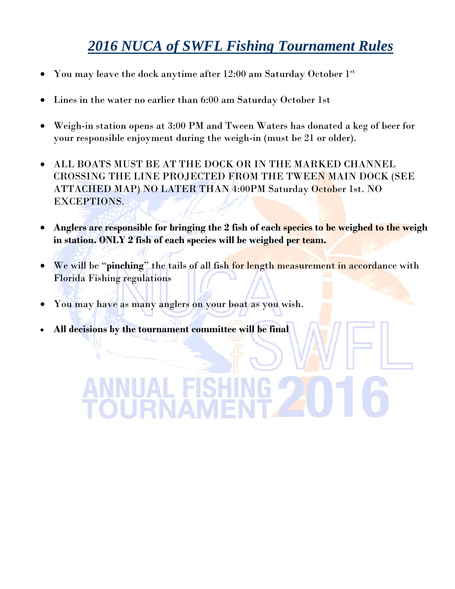## *2016 NUCA of SWFL Fishing Tournament Rules*

- You may leave the dock anytime after 12:00 am Saturday October 1st
- Lines in the water no earlier than 6:00 am Saturday October 1st
- Weigh-in station opens at 3:00 PM and Tween Waters has donated a keg of beer for your responsible enjoyment during the weigh-in (must be 21 or older).
- ALL BOATS MUST BE AT THE DOCK OR IN THE MARKED CHANNEL CROSSING THE LINE PROJECTED FROM THE TWEEN MAIN DOCK (SEE ATTACHED MAP) NO LATER THAN 4:00PM Saturday October 1st. NO EXCEPTIONS.
- **Anglers are responsible for bringing the 2 fish of each species to be weighed to the weigh in station. ONLY 2 fish of each species will be weighed per team.**
- We will be "**pinching**" the tails of all fish for length measurement in accordance with Florida Fishing regulations
- You may have as many anglers on your boat as you wish.
- **All decisions by the tournament committee will be final**